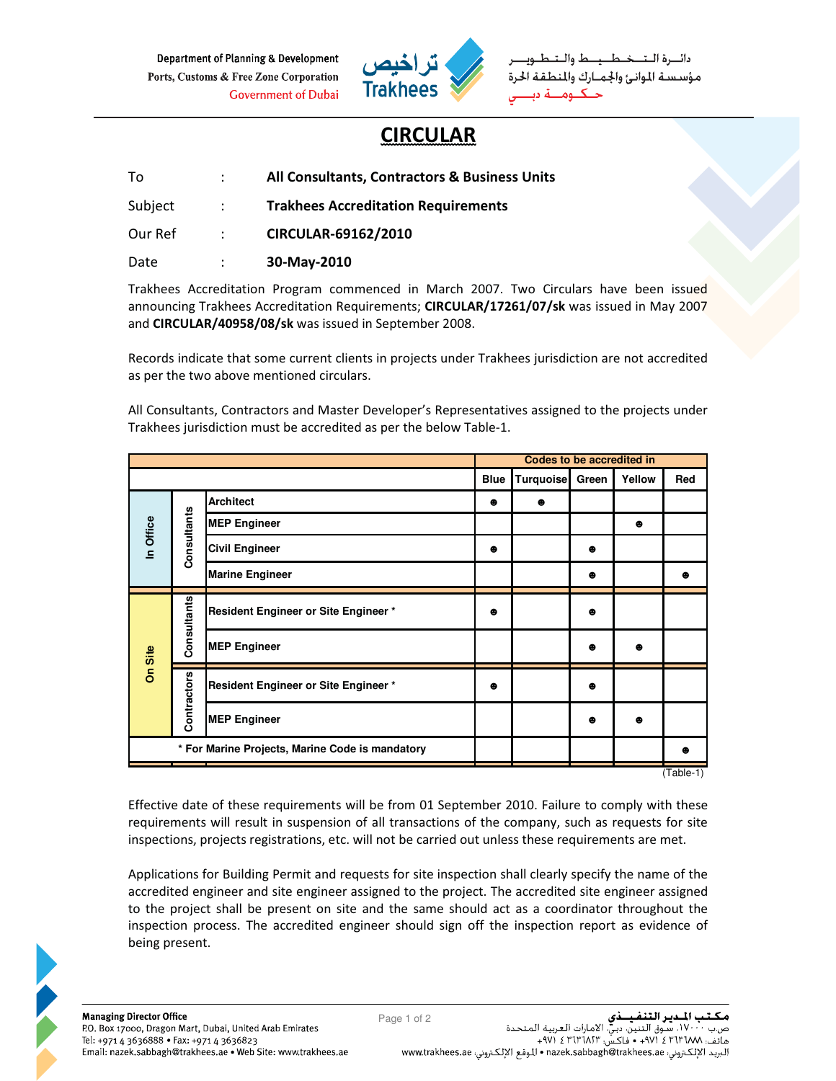Department of Planning & Development Ports, Customs & Free Zone Corporation **Government of Dubai** 



مؤسسة الموانئ والجمارك والمنطقة الحرة

## **CIRCULAR**

| To.     |                   | All Consultants, Contractors & Business Units |
|---------|-------------------|-----------------------------------------------|
| Subject | <b>Contractor</b> | <b>Trakhees Accreditation Requirements</b>    |
| Our Ref | $-1.5 - 1.5$      | CIRCULAR-69162/2010                           |
| Date    |                   | 30-May-2010                                   |

Trakhees Accreditation Program commenced in March 2007. Two Circulars have been issued announcing Trakhees Accreditation Requirements; CIRCULAR/17261/07/sk was issued in May 2007 and CIRCULAR/40958/08/sk was issued in September 2008.

Records indicate that some current clients in projects under Trakhees jurisdiction are not accredited as per the two above mentioned circulars.

All Consultants, Contractors and Master Developer's Representatives assigned to the projects under Trakhees jurisdiction must be accredited as per the below Table-1.

|                                                 |                        |                                             | Codes to be accredited in |                  |           |           |                   |
|-------------------------------------------------|------------------------|---------------------------------------------|---------------------------|------------------|-----------|-----------|-------------------|
|                                                 |                        |                                             | <b>Blue</b>               | <b>Turquoise</b> | Green     | Yellow    | Red               |
| Consultants<br>In Office                        |                        | <b>Architect</b>                            | ٠                         | $\bullet$        |           |           |                   |
|                                                 |                        | <b>MEP Engineer</b>                         |                           |                  |           | ●         |                   |
|                                                 |                        | <b>Civil Engineer</b>                       | $\bullet$                 |                  | $\bullet$ |           |                   |
|                                                 | <b>Marine Engineer</b> |                                             |                           | ⊕                |           | $\bullet$ |                   |
| Consultants<br>On Site<br>Contractors           |                        | <b>Resident Engineer or Site Engineer *</b> | ٠                         |                  | $\bullet$ |           |                   |
|                                                 | <b>MEP Engineer</b>    |                                             |                           | ●                | ٠         |           |                   |
|                                                 |                        | Resident Engineer or Site Engineer *        | ⊕                         |                  | $\bullet$ |           |                   |
|                                                 |                        | <b>MEP Engineer</b>                         |                           |                  | $\bullet$ | ٠         |                   |
| * For Marine Projects, Marine Code is mandatory |                        |                                             |                           |                  |           |           | $\bullet$         |
|                                                 |                        |                                             |                           |                  |           |           | $(T_0 h  _{0.1})$ |

 $(Table-1)$ 

Effective date of these requirements will be from 01 September 2010. Failure to comply with these requirements will result in suspension of all transactions of the company, such as requests for site inspections, projects registrations, etc. will not be carried out unless these requirements are met.

Applications for Building Permit and requests for site inspection shall clearly specify the name of the accredited engineer and site engineer assigned to the project. The accredited site engineer assigned to the project shall be present on site and the same should act as a coordinator throughout the inspection process. The accredited engineer should sign off the inspection report as evidence of being present.